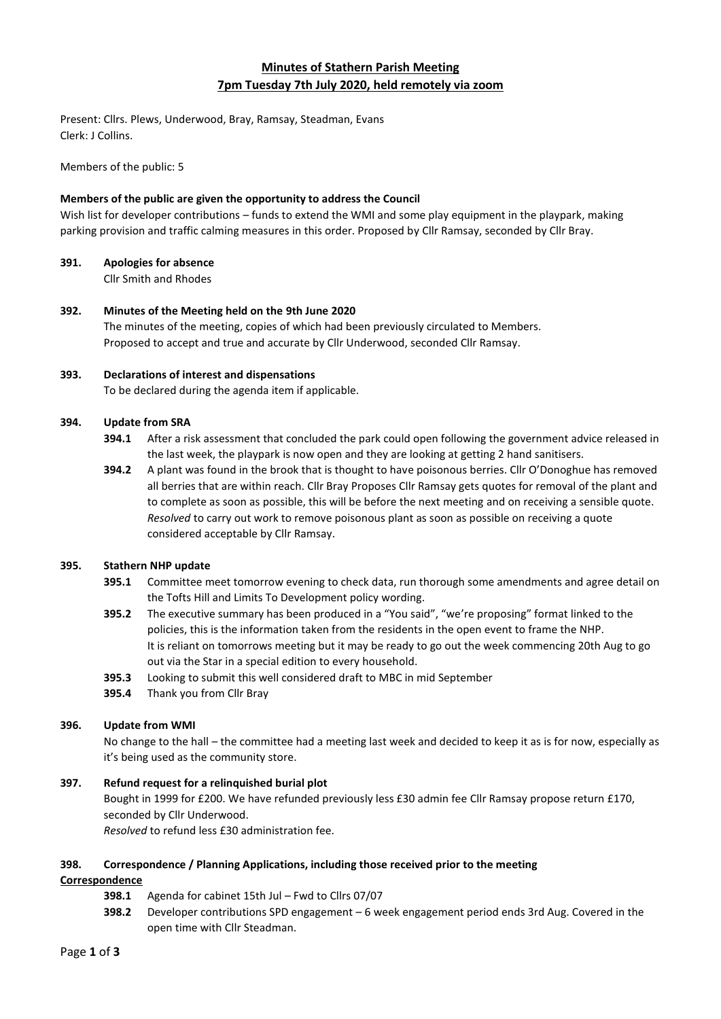# **Minutes of Stathern Parish Meeting 7pm Tuesday 7th July 2020, held remotely via zoom**

Present: Cllrs. Plews, Underwood, Bray, Ramsay, Steadman, Evans Clerk: J Collins.

Members of the public: 5

## **Members of the public are given the opportunity to address the Council**

Wish list for developer contributions – funds to extend the WMI and some play equipment in the playpark, making parking provision and traffic calming measures in this order. Proposed by Cllr Ramsay, seconded by Cllr Bray.

## **391. Apologies for absence**

Cllr Smith and Rhodes

**392. Minutes of the Meeting held on the 9th June 2020** The minutes of the meeting, copies of which had been previously circulated to Members. Proposed to accept and true and accurate by Cllr Underwood, seconded Cllr Ramsay.

## **393. Declarations of interest and dispensations**

To be declared during the agenda item if applicable.

## **394. Update from SRA**

- **394.1** After a risk assessment that concluded the park could open following the government advice released in the last week, the playpark is now open and they are looking at getting 2 hand sanitisers.
- **394.2** A plant was found in the brook that is thought to have poisonous berries. Cllr O'Donoghue has removed all berries that are within reach. Cllr Bray Proposes Cllr Ramsay gets quotes for removal of the plant and to complete as soon as possible, this will be before the next meeting and on receiving a sensible quote. *Resolved* to carry out work to remove poisonous plant as soon as possible on receiving a quote considered acceptable by Cllr Ramsay.

## **395. Stathern NHP update**

- **395.1** Committee meet tomorrow evening to check data, run thorough some amendments and agree detail on the Tofts Hill and Limits To Development policy wording.
- **395.2** The executive summary has been produced in a "You said", "we're proposing" format linked to the policies, this is the information taken from the residents in the open event to frame the NHP. It is reliant on tomorrows meeting but it may be ready to go out the week commencing 20th Aug to go out via the Star in a special edition to every household.
- **395.3** Looking to submit this well considered draft to MBC in mid September
- **395.4** Thank you from Cllr Bray

## **396. Update from WMI**

No change to the hall – the committee had a meeting last week and decided to keep it as is for now, especially as it's being used as the community store.

## **397. Refund request for a relinquished burial plot**

Bought in 1999 for £200. We have refunded previously less £30 admin fee Cllr Ramsay propose return £170, seconded by Cllr Underwood.

*Resolved* to refund less £30 administration fee.

## **398. Correspondence / Planning Applications, including those received prior to the meeting**

## **Correspondence**

- **398.1** Agenda for cabinet 15th Jul Fwd to Cllrs 07/07
- **398.2** Developer contributions SPD engagement 6 week engagement period ends 3rd Aug. Covered in the open time with Cllr Steadman.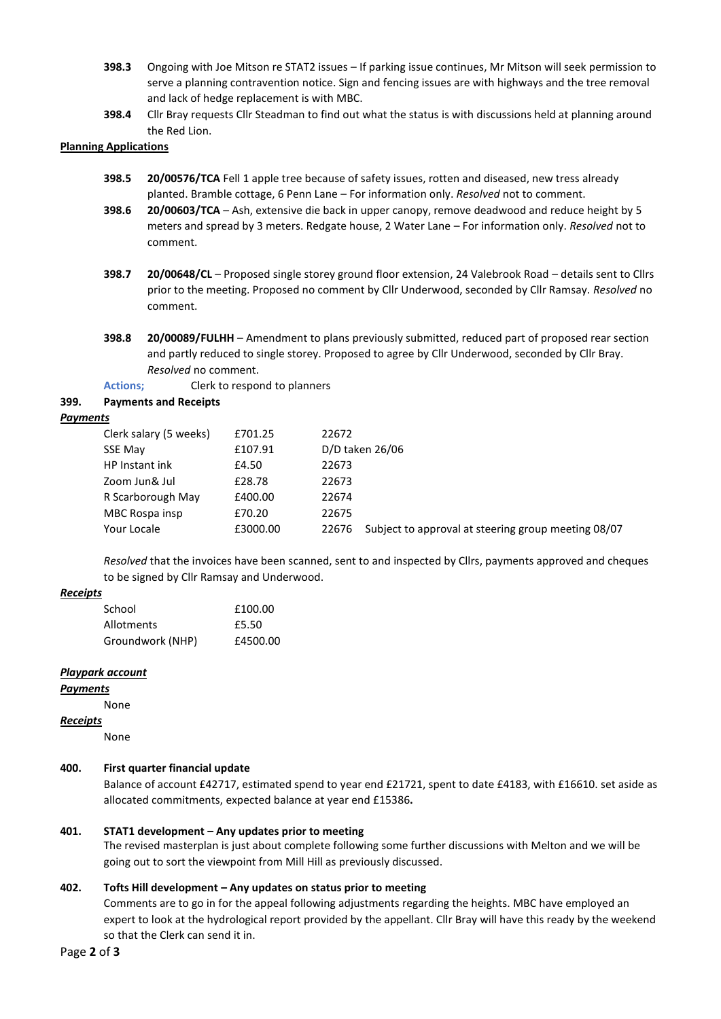- **398.3** Ongoing with Joe Mitson re STAT2 issues If parking issue continues, Mr Mitson will seek permission to serve a planning contravention notice. Sign and fencing issues are with highways and the tree removal and lack of hedge replacement is with MBC.
- **398.4** Cllr Bray requests Cllr Steadman to find out what the status is with discussions held at planning around the Red Lion.

#### **Planning Applications**

- **398.5 20/00576/TCA** Fell 1 apple tree because of safety issues, rotten and diseased, new tress already planted. Bramble cottage, 6 Penn Lane – For information only. *Resolved* not to comment.
- **398.6 20/00603/TCA** Ash, extensive die back in upper canopy, remove deadwood and reduce height by 5 meters and spread by 3 meters. Redgate house, 2 Water Lane – For information only. *Resolved* not to comment.
- **398.7 20/00648/CL** Proposed single storey ground floor extension, 24 Valebrook Road details sent to Cllrs prior to the meeting. Proposed no comment by Cllr Underwood, seconded by Cllr Ramsay. *Resolved* no comment.
- **398.8 20/00089/FULHH** Amendment to plans previously submitted, reduced part of proposed rear section and partly reduced to single storey. Proposed to agree by Cllr Underwood, seconded by Cllr Bray. *Resolved* no comment.
- **Actions;** Clerk to respond to planners

## **399. Payments and Receipts**

#### *Payments*

| Clerk salary (5 weeks) | £701.25  | 22672                                                        |
|------------------------|----------|--------------------------------------------------------------|
| <b>SSE May</b>         | £107.91  | D/D taken 26/06                                              |
| HP Instant ink         | £4.50    | 22673                                                        |
| Zoom Jun& Jul          | £28.78   | 22673                                                        |
| R Scarborough May      | £400.00  | 22674                                                        |
| MBC Rospa insp         | £70.20   | 22675                                                        |
| Your Locale            | £3000.00 | Subject to approval at steering group meeting 08/07<br>22676 |

*Resolved* that the invoices have been scanned, sent to and inspected by Cllrs, payments approved and cheques to be signed by Cllr Ramsay and Underwood.

#### *Receipts*

| School            | £100.00  |
|-------------------|----------|
| <b>Allotments</b> | £5.50    |
| Groundwork (NHP)  | £4500.00 |

## *Playpark account*

#### *Payments*

#### None

## *Receipts*

None

## **400. First quarter financial update**

Balance of account £42717, estimated spend to year end £21721, spent to date £4183, with £16610. set aside as allocated commitments, expected balance at year end £15386**.**

## **401. STAT1 development – Any updates prior to meeting**

The revised masterplan is just about complete following some further discussions with Melton and we will be going out to sort the viewpoint from Mill Hill as previously discussed.

## **402. Tofts Hill development – Any updates on status prior to meeting**

Comments are to go in for the appeal following adjustments regarding the heights. MBC have employed an expert to look at the hydrological report provided by the appellant. Cllr Bray will have this ready by the weekend so that the Clerk can send it in.

#### Page **2** of **3**